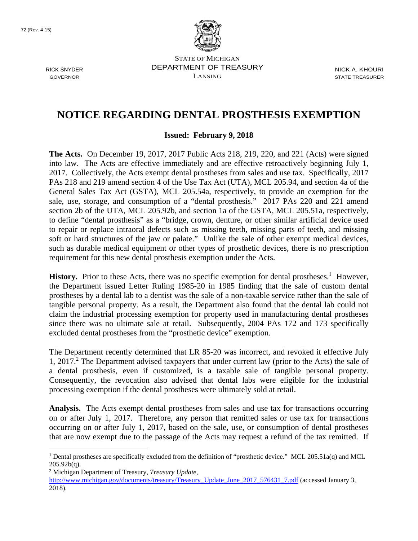

STATE OF MICHIGAN RICK SNYDER DEPARTMENT OF TREASURY NICK A. KHOURI  $\sum_{i=1}^{n}$  GOVERNOR STATE TREASURER

## **NOTICE REGARDING DENTAL PROSTHESIS EXEMPTION**

## **Issued: February 9, 2018**

**The Acts.** On December 19, 2017, 2017 Public Acts 218, 219, 220, and 221 (Acts) were signed into law. The Acts are effective immediately and are effective retroactively beginning July 1, 2017. Collectively, the Acts exempt dental prostheses from sales and use tax. Specifically, 2017 PAs 218 and 219 amend section 4 of the Use Tax Act (UTA), MCL 205.94, and section 4a of the General Sales Tax Act (GSTA), MCL 205.54a, respectively, to provide an exemption for the sale, use, storage, and consumption of a "dental prosthesis." 2017 PAs 220 and 221 amend section 2b of the UTA, MCL 205.92b, and section 1a of the GSTA, MCL 205.51a, respectively, to define "dental prosthesis" as a "bridge, crown, denture, or other similar artificial device used to repair or replace intraoral defects such as missing teeth, missing parts of teeth, and missing soft or hard structures of the jaw or palate." Unlike the sale of other exempt medical devices, such as durable medical equipment or other types of prosthetic devices, there is no prescription requirement for this new dental prosthesis exemption under the Acts.

History. Prior to these Acts, there was no specific exemption for dental prostheses.<sup>1</sup> However, the Department issued Letter Ruling 1985-20 in 1985 finding that the sale of custom dental prostheses by a dental lab to a dentist was the sale of a non-taxable service rather than the sale of tangible personal property. As a result, the Department also found that the dental lab could not claim the industrial processing exemption for property used in manufacturing dental prostheses since there was no ultimate sale at retail. Subsequently, 2004 PAs 172 and 173 specifically excluded dental prostheses from the "prosthetic device" exemption.

The Department recently determined that LR 85-20 was incorrect, and revoked it effective July 1, 2017.<sup>2</sup> The Department advised taxpayers that under current law (prior to the Acts) the sale of a dental prosthesis, even if customized, is a taxable sale of tangible personal property. Consequently, the revocation also advised that dental labs were eligible for the industrial processing exemption if the dental prostheses were ultimately sold at retail.

**Analysis.** The Acts exempt dental prostheses from sales and use tax for transactions occurring on or after July 1, 2017. Therefore, any person that remitted sales or use tax for transactions occurring on or after July 1, 2017, based on the sale, use, or consumption of dental prostheses that are now exempt due to the passage of the Acts may request a refund of the tax remitted. If

2 Michigan Department of Treasury, *Treasury Update,*

 $\overline{a}$ 

 $205.92b(q)$ . <sup>1</sup> Dental prostheses are specifically excluded from the definition of "prosthetic device." MCL 205.51a(q) and MCL

http://www.michigan.gov/documents/treasury/Treasury\_Update\_June\_2017\_576431\_7.pdf (accessed January 3, 2018).